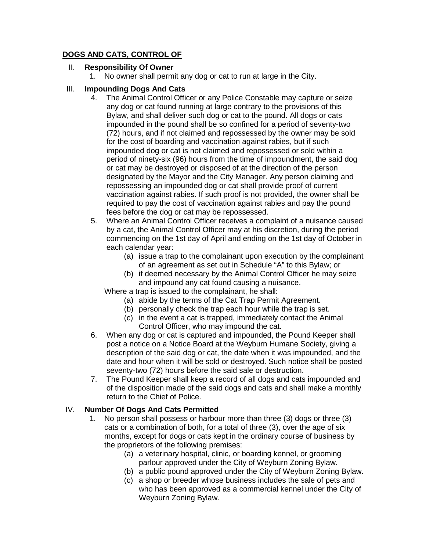# **DOGS AND CATS, CONTROL OF**

### II. **Responsibility Of Owner**

1. No owner shall permit any dog or cat to run at large in the City.

### III. **Impounding Dogs And Cats**

- 4. The Animal Control Officer or any Police Constable may capture or seize any dog or cat found running at large contrary to the provisions of this Bylaw, and shall deliver such dog or cat to the pound. All dogs or cats impounded in the pound shall be so confined for a period of seventy-two (72) hours, and if not claimed and repossessed by the owner may be sold for the cost of boarding and vaccination against rabies, but if such impounded dog or cat is not claimed and repossessed or sold within a period of ninety-six (96) hours from the time of impoundment, the said dog or cat may be destroyed or disposed of at the direction of the person designated by the Mayor and the City Manager. Any person claiming and repossessing an impounded dog or cat shall provide proof of current vaccination against rabies. If such proof is not provided, the owner shall be required to pay the cost of vaccination against rabies and pay the pound fees before the dog or cat may be repossessed.
- 5. Where an Animal Control Officer receives a complaint of a nuisance caused by a cat, the Animal Control Officer may at his discretion, during the period commencing on the 1st day of April and ending on the 1st day of October in each calendar year:
	- (a) issue a trap to the complainant upon execution by the complainant of an agreement as set out in Schedule "A" to this Bylaw; or
	- (b) if deemed necessary by the Animal Control Officer he may seize and impound any cat found causing a nuisance.

Where a trap is issued to the complainant, he shall:

- (a) abide by the terms of the Cat Trap Permit Agreement.
- (b) personally check the trap each hour while the trap is set.
- (c) in the event a cat is trapped, immediately contact the Animal Control Officer, who may impound the cat.
- 6. When any dog or cat is captured and impounded, the Pound Keeper shall post a notice on a Notice Board at the Weyburn Humane Society, giving a description of the said dog or cat, the date when it was impounded, and the date and hour when it will be sold or destroyed. Such notice shall be posted seventy-two (72) hours before the said sale or destruction.
- 7. The Pound Keeper shall keep a record of all dogs and cats impounded and of the disposition made of the said dogs and cats and shall make a monthly return to the Chief of Police.

# IV. **Number Of Dogs And Cats Permitted**

- 1. No person shall possess or harbour more than three (3) dogs or three (3) cats or a combination of both, for a total of three (3), over the age of six months, except for dogs or cats kept in the ordinary course of business by the proprietors of the following premises:
	- (a) a veterinary hospital, clinic, or boarding kennel, or grooming parlour approved under the City of Weyburn Zoning Bylaw.
	- (b) a public pound approved under the City of Weyburn Zoning Bylaw.
	- (c) a shop or breeder whose business includes the sale of pets and who has been approved as a commercial kennel under the City of Weyburn Zoning Bylaw.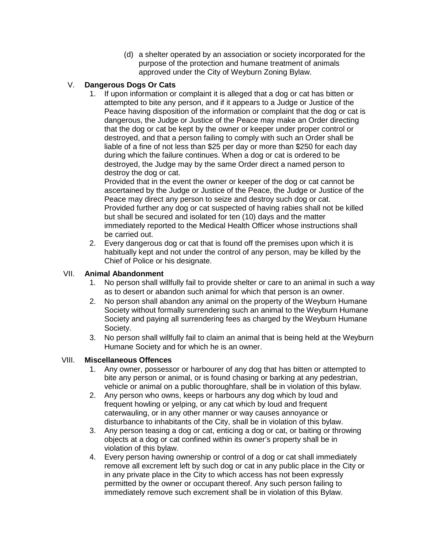(d) a shelter operated by an association or society incorporated for the purpose of the protection and humane treatment of animals approved under the City of Weyburn Zoning Bylaw.

# V. **Dangerous Dogs Or Cats**

1. If upon information or complaint it is alleged that a dog or cat has bitten or attempted to bite any person, and if it appears to a Judge or Justice of the Peace having disposition of the information or complaint that the dog or cat is dangerous, the Judge or Justice of the Peace may make an Order directing that the dog or cat be kept by the owner or keeper under proper control or destroyed, and that a person failing to comply with such an Order shall be liable of a fine of not less than \$25 per day or more than \$250 for each day during which the failure continues. When a dog or cat is ordered to be destroyed, the Judge may by the same Order direct a named person to destroy the dog or cat.

Provided that in the event the owner or keeper of the dog or cat cannot be ascertained by the Judge or Justice of the Peace, the Judge or Justice of the Peace may direct any person to seize and destroy such dog or cat. Provided further any dog or cat suspected of having rabies shall not be killed but shall be secured and isolated for ten (10) days and the matter immediately reported to the Medical Health Officer whose instructions shall be carried out.

2. Every dangerous dog or cat that is found off the premises upon which it is habitually kept and not under the control of any person, may be killed by the Chief of Police or his designate.

#### VII. **Animal Abandonment**

- 1. No person shall willfully fail to provide shelter or care to an animal in such a way as to desert or abandon such animal for which that person is an owner.
- 2. No person shall abandon any animal on the property of the Weyburn Humane Society without formally surrendering such an animal to the Weyburn Humane Society and paying all surrendering fees as charged by the Weyburn Humane Society.
- 3. No person shall willfully fail to claim an animal that is being held at the Weyburn Humane Society and for which he is an owner.

### VIII. **Miscellaneous Offences**

- 1. Any owner, possessor or harbourer of any dog that has bitten or attempted to bite any person or animal, or is found chasing or barking at any pedestrian, vehicle or animal on a public thoroughfare, shall be in violation of this bylaw.
- 2. Any person who owns, keeps or harbours any dog which by loud and frequent howling or yelping, or any cat which by loud and frequent caterwauling, or in any other manner or way causes annoyance or disturbance to inhabitants of the City, shall be in violation of this bylaw.
- 3. Any person teasing a dog or cat, enticing a dog or cat, or baiting or throwing objects at a dog or cat confined within its owner's property shall be in violation of this bylaw.
- 4. Every person having ownership or control of a dog or cat shall immediately remove all excrement left by such dog or cat in any public place in the City or in any private place in the City to which access has not been expressly permitted by the owner or occupant thereof. Any such person failing to immediately remove such excrement shall be in violation of this Bylaw.